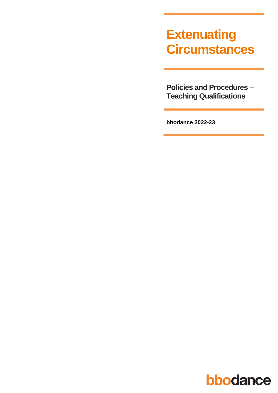# **Extenuating Circumstances**

**Policies and Procedures -Teaching Qualifications** 

bbodance 2022-23

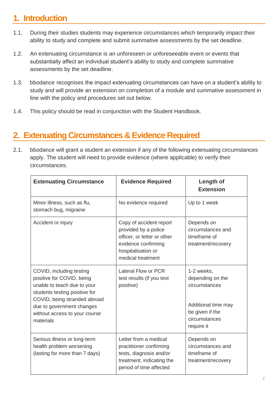### **1. Introduction**

- 1.1. During their studies students may experience circumstances which temporarily impact their ability to study and complete and submit summative assessments by the set deadline.
- 1.2. An extenuating circumstance is an unforeseen or unforeseeable event or events that substantially affect an individual student's ability to study and complete summative assessments by the set deadline.
- 1.3. bbodance recognises the impact extenuating circumstances can have on a student's ability to study and will provide an extension on completion of a module and summative assessment in line with the policy and procedures set out below.
- 1.4. This policy should be read in conjunction with the Student Handbook.

#### **2. Extenuating Circumstances & Evidence Required**

2.1. bbodance will grant a student an extension if any of the following extenuating circumstances apply. The student will need to provide evidence (where applicable) to verify their circumstances.

| <b>Extenuating Circumstance</b>                                                                                                                                                                                                  | <b>Evidence Required</b>                                                                                                                         | <b>Length of</b><br><b>Extension</b>                                                                                     |
|----------------------------------------------------------------------------------------------------------------------------------------------------------------------------------------------------------------------------------|--------------------------------------------------------------------------------------------------------------------------------------------------|--------------------------------------------------------------------------------------------------------------------------|
| Minor illness, such as flu,<br>stomach bug, migraine                                                                                                                                                                             | No evidence required                                                                                                                             | Up to 1 week                                                                                                             |
| Accident or injury                                                                                                                                                                                                               | Copy of accident report<br>provided by a police<br>officer, or letter or other<br>evidence confirming<br>hospitalisation or<br>medical treatment | Depends on<br>circumstances and<br>timeframe of<br>treatment/recovery                                                    |
| COVID, including testing<br>positive for COVID, being<br>unable to teach due to your<br>students testing positive for<br>COVID, being stranded abroad<br>due to government changes<br>without access to your course<br>materials | Lateral Flow or PCR<br>test results (if you test<br>positive)                                                                                    | 1-2 weeks,<br>depending on the<br>circumstances<br>Additional time may<br>be given if the<br>circumstances<br>require it |
| Serious illness or long-term<br>health problem worsening<br>(lasting for more than 7 days)                                                                                                                                       | Letter from a medical<br>practitioner confirming<br>tests, diagnosis and/or<br>treatment, indicating the<br>period of time affected              | Depends on<br>circumstances and<br>timeframe of<br>treatment/recovery                                                    |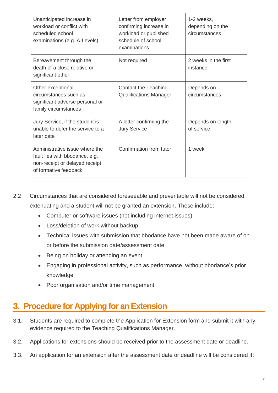| Unanticipated increase in<br>workload or conflict with<br>scheduled school<br>examinations (e.g. A-Levels)                  | Letter from employer<br>confirming increase in<br>workload or published<br>schedule of school<br>examinations | 1-2 weeks,<br>depending on the<br>circumstances |
|-----------------------------------------------------------------------------------------------------------------------------|---------------------------------------------------------------------------------------------------------------|-------------------------------------------------|
| Bereavement through the<br>death of a close relative or<br>significant other                                                | Not required                                                                                                  | 2 weeks in the first<br>instance                |
| Other exceptional<br>circumstances such as<br>significant adverse personal or<br>family circumstances                       | <b>Contact the Teaching</b><br><b>Qualifications Manager</b>                                                  | Depends on<br>circumstances                     |
| Jury Service, if the student is<br>unable to defer the service to a<br>later date                                           | A letter confirming the<br><b>Jury Service</b>                                                                | Depends on length<br>of service                 |
| Administrative issue where the<br>fault lies with bbodance, e.g.<br>non-receipt or delayed receipt<br>of formative feedback | Confirmation from tutor                                                                                       | 1 week                                          |

- 2.2 Circumstances that are considered foreseeable and preventable will not be considered extenuating and a student will not be granted an extension. These include:
	- Computer or software issues (not including internet issues)
	- Loss/deletion of work without backup
	- Technical issues with submission that bbodance have not been made aware of on or before the submission date/assessment date
	- Being on holiday or attending an event
	- Engaging in professional activity, such as performance, without bbodance's prior knowledge
	- Poor organisation and/or time management

#### **3. Procedure for Applying for an Extension**

- 3.1. Students are required to complete the Application for Extension form and submit it with any evidence required to the Teaching Qualifications Manager.
- 3.2. Applications for extensions should be received prior to the assessment date or deadline.
- 3.3. An application for an extension after the assessment date or deadline will be considered if: